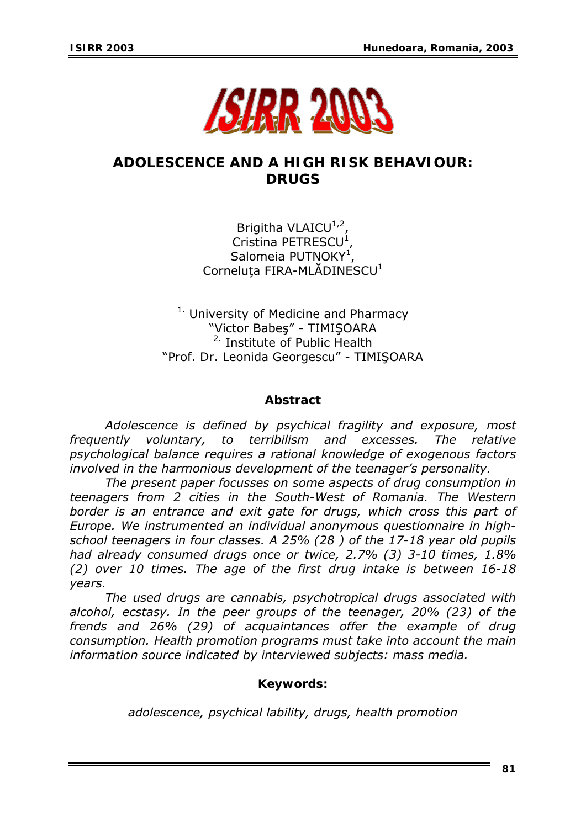

# **ADOLESCENCE AND A HIGH RISK BEHAVIOUR: DRUGS**

Brigitha VLAICU $1,2$ Cristina PETRESCU<sup>1</sup>, Salomeia PUTNOKY<sup>1</sup>, Corneluta FIRA-MLĂDINESCU<sup>1</sup>

 $1.$  University of Medicine and Pharmacy "Victor Babeş" - TIMIŞOARA 2. Institute of Public Health "Prof. Dr. Leonida Georgescu" - TIMIŞOARA

#### *Abstract*

*Adolescence is defined by psychical fragility and exposure, most frequently voluntary, to terribilism and excesses. The relative psychological balance requires a rational knowledge of exogenous factors involved in the harmonious development of the teenager's personality.* 

*The present paper focusses on some aspects of drug consumption in teenagers from 2 cities in the South-West of Romania. The Western border is an entrance and exit gate for drugs, which cross this part of Europe. We instrumented an individual anonymous questionnaire in highschool teenagers in four classes. A 25% (28 ) of the 17-18 year old pupils had already consumed drugs once or twice, 2.7% (3) 3-10 times, 1.8% (2) over 10 times. The age of the first drug intake is between 16-18 years.* 

*The used drugs are cannabis, psychotropical drugs associated with alcohol, ecstasy. In the peer groups of the teenager, 20% (23) of the frends and 26% (29) of acquaintances offer the example of drug consumption. Health promotion programs must take into account the main information source indicated by interviewed subjects: mass media.* 

## *Keywords:*

*adolescence, psychical lability, drugs, health promotion*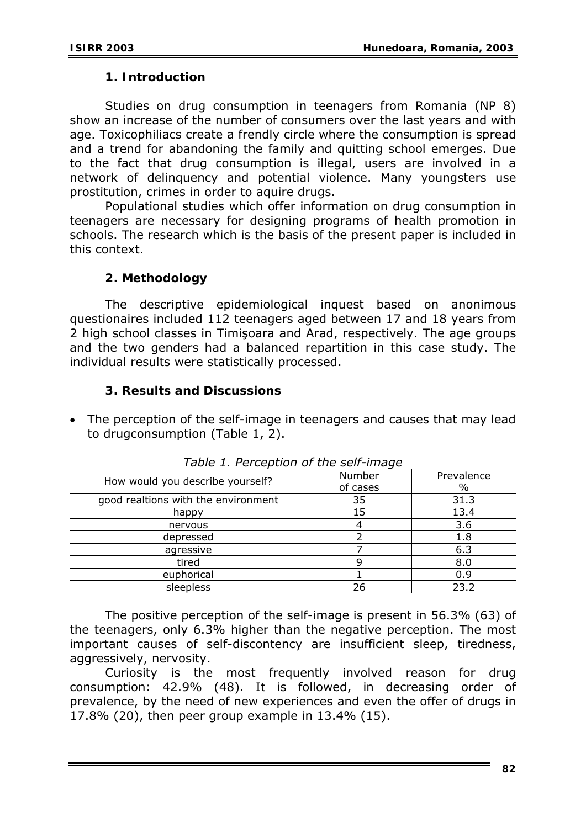### **1. Introduction**

Studies on drug consumption in teenagers from Romania (NP 8) show an increase of the number of consumers over the last years and with age. Toxicophiliacs create a frendly circle where the consumption is spread and a trend for abandoning the family and quitting school emerges. Due to the fact that drug consumption is illegal, users are involved in a network of delinquency and potential violence. Many youngsters use prostitution, crimes in order to aquire drugs.

Populational studies which offer information on drug consumption in teenagers are necessary for designing programs of health promotion in schools. The research which is the basis of the present paper is included in this context.

## **2. Methodology**

The descriptive epidemiological inquest based on anonimous questionaires included 112 teenagers aged between 17 and 18 years from 2 high school classes in Timişoara and Arad, respectively. The age groups and the two genders had a balanced repartition in this case study. The individual results were statistically processed.

## **3. Results and Discussions**

• The perception of the self-image in teenagers and causes that may lead to drugconsumption (Table 1, 2).

| How would you describe yourself?    | Number<br>of cases | Prevalence<br>$\%$ |
|-------------------------------------|--------------------|--------------------|
|                                     |                    |                    |
| good realtions with the environment | 35                 | 31.3               |
| happy                               | 15                 | 13.4               |
| nervous                             |                    | 3.6                |
| depressed                           |                    | 1.8                |
| agressive                           |                    | 6.3                |
| tired                               | g                  | 8.0                |
| euphorical                          |                    | 0.9                |
| sleepless                           | 26                 | 23.2               |

*Table 1. Perception of the self-image* 

 The positive perception of the self-image is present in 56.3% (63) of the teenagers, only 6.3% higher than the negative perception. The most important causes of self-discontency are insufficient sleep, tiredness, aggressively, nervosity.

Curiosity is the most frequently involved reason for drug consumption: 42.9% (48). It is followed, in decreasing order of prevalence, by the need of new experiences and even the offer of drugs in 17.8% (20), then peer group example in 13.4% (15).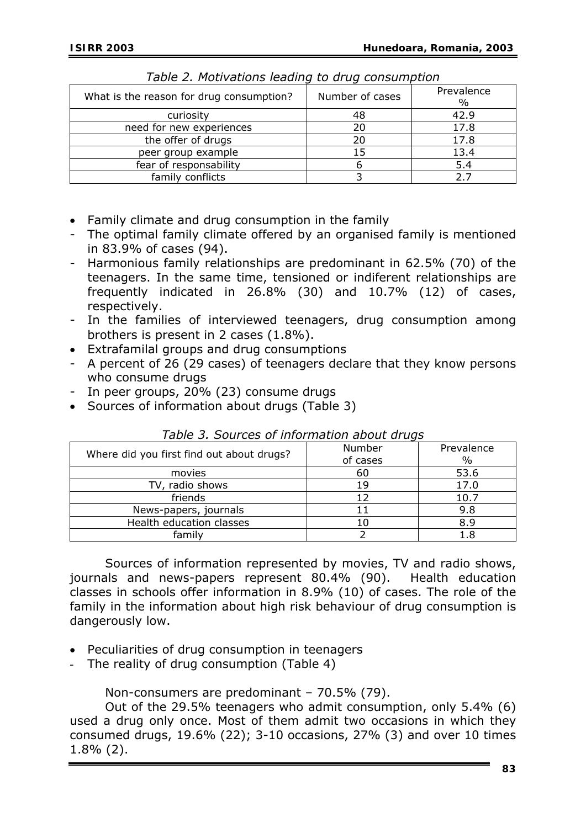| What is the reason for drug consumption? | Number of cases | Prevalence<br>$\%$ |  |  |
|------------------------------------------|-----------------|--------------------|--|--|
| curiosity                                | 48              | 42.9               |  |  |
| need for new experiences                 | 20              | 17.8               |  |  |
| the offer of drugs                       | 20              | 17.8               |  |  |
| peer group example                       | 15              | 13.4               |  |  |
| fear of responsability                   |                 | 5.4                |  |  |
| family conflicts                         |                 |                    |  |  |

*Table 2. Motivations leading to drug consumption* 

- Family climate and drug consumption in the family
- The optimal family climate offered by an organised family is mentioned in 83.9% of cases (94).
- Harmonious family relationships are predominant in 62.5% (70) of the teenagers. In the same time, tensioned or indiferent relationships are frequently indicated in 26.8% (30) and 10.7% (12) of cases, respectively.
- In the families of interviewed teenagers, drug consumption among brothers is present in 2 cases (1.8%).
- Extrafamilal groups and drug consumptions
- A percent of 26 (29 cases) of teenagers declare that they know persons who consume drugs
- In peer groups, 20% (23) consume drugs
- Sources of information about drugs (Table 3)

|                                           | Number   | Prevalence |
|-------------------------------------------|----------|------------|
| Where did you first find out about drugs? | of cases | $\%$       |
| movies                                    | 60       | 53.6       |
| TV, radio shows                           | 19       | 17.0       |
| friends                                   |          | 10.7       |
| News-papers, journals                     |          | 9.8        |
| Health education classes                  |          | 8.9        |
| family                                    |          |            |

*Table 3. Sources of information about drugs* 

 Sources of information represented by movies, TV and radio shows, journals and news-papers represent 80.4% (90). Health education classes in schools offer information in 8.9% (10) of cases. The role of the family in the information about high risk behaviour of drug consumption is dangerously low.

- Peculiarities of drug consumption in teenagers
- The reality of drug consumption (Table 4)

Non-consumers are predominant – 70.5% (79).

 Out of the 29.5% teenagers who admit consumption, only 5.4% (6) used a drug only once. Most of them admit two occasions in which they consumed drugs, 19.6% (22); 3-10 occasions, 27% (3) and over 10 times 1.8% (2).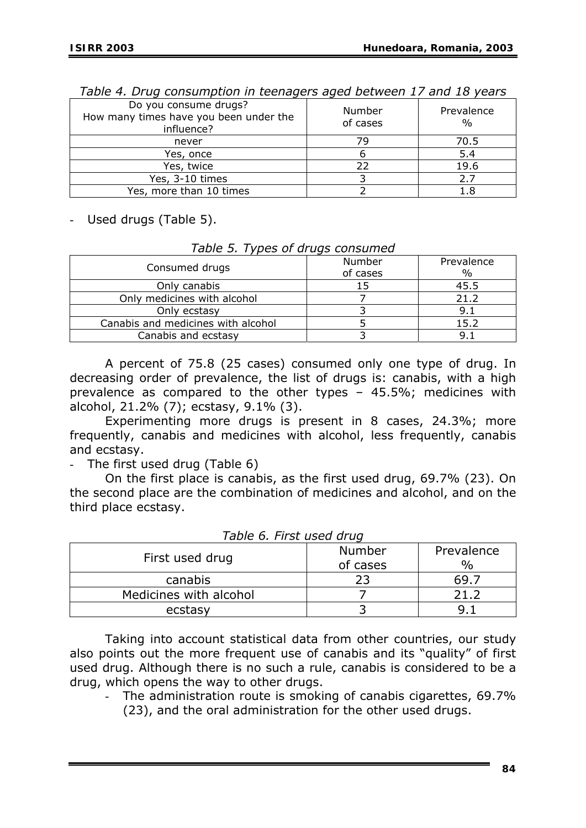| Do you consume drugs?<br>How many times have you been under the<br>influence? | Number<br>of cases | Prevalence<br>$\frac{0}{0}$ |
|-------------------------------------------------------------------------------|--------------------|-----------------------------|
| never                                                                         | 79                 | 70.5                        |
| Yes, once                                                                     |                    | 5.4                         |
| Yes, twice                                                                    |                    | 19.6                        |
| Yes, 3-10 times                                                               |                    | 2.7                         |
| Yes, more than 10 times                                                       |                    |                             |

*Table 4. Drug consumption in teenagers aged between 17 and 18 years* 

- Used drugs (Table 5).

| rabic 9. Types or arags consanica  |          |            |  |
|------------------------------------|----------|------------|--|
| Consumed drugs                     | Number   | Prevalence |  |
|                                    | of cases | $\%$       |  |
| Only canabis                       |          | 45.5       |  |
| Only medicines with alcohol        |          | 21.2       |  |
| Only ecstasy                       |          | 9.1        |  |
| Canabis and medicines with alcohol |          | 15.2       |  |
| Canabis and ecstasy                |          | 9.         |  |

*Table 5. Types of drugs consumed* 

 A percent of 75.8 (25 cases) consumed only one type of drug. In decreasing order of prevalence, the list of drugs is: canabis, with a high prevalence as compared to the other types – 45.5%; medicines with alcohol, 21.2% (7); ecstasy, 9.1% (3).

 Experimenting more drugs is present in 8 cases, 24.3%; more frequently, canabis and medicines with alcohol, less frequently, canabis and ecstasy.

The first used drug (Table 6)

On the first place is canabis, as the first used drug, 69.7% (23). On the second place are the combination of medicines and alcohol, and on the third place ecstasy.

| First used drug        | Number<br>of cases | Prevalence<br>$\frac{0}{0}$ |  |
|------------------------|--------------------|-----------------------------|--|
| canabis                | າາ                 |                             |  |
| Medicines with alcohol |                    |                             |  |
| ecstasy                |                    |                             |  |

*Table 6. First used drug* 

 Taking into account statistical data from other countries, our study also points out the more frequent use of canabis and its "quality" of first used drug. Although there is no such a rule, canabis is considered to be a drug, which opens the way to other drugs.

The administration route is smoking of canabis cigarettes, 69.7% (23), and the oral administration for the other used drugs.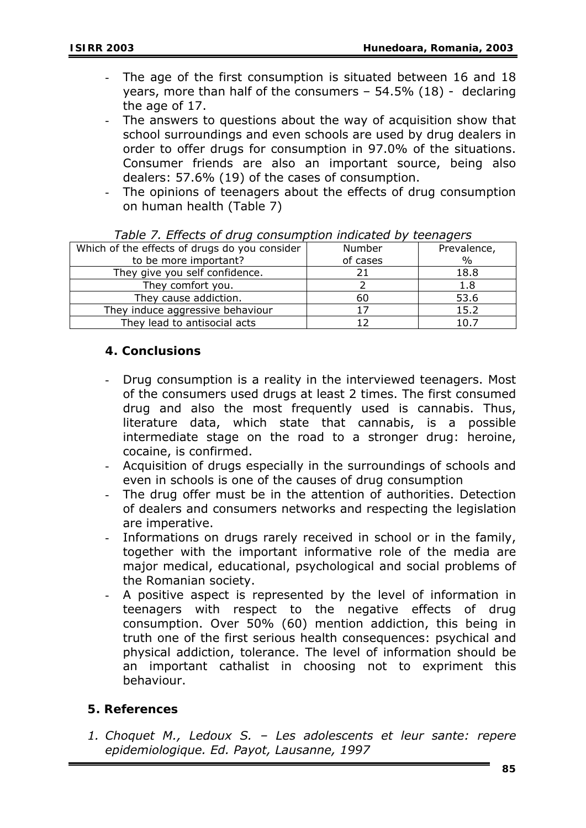- The age of the first consumption is situated between 16 and 18 years, more than half of the consumers - 54.5% (18) - declaring the age of 17.
- The answers to questions about the way of acquisition show that school surroundings and even schools are used by drug dealers in order to offer drugs for consumption in 97.0% of the situations. Consumer friends are also an important source, being also dealers: 57.6% (19) of the cases of consumption.
- The opinions of teenagers about the effects of drug consumption on human health (Table 7)

| rapic 77 Encelo or anag consumption maleated by teenagers |          |               |  |
|-----------------------------------------------------------|----------|---------------|--|
| Which of the effects of drugs do you consider             | Number   | Prevalence,   |  |
| to be more important?                                     | of cases | $\frac{0}{0}$ |  |
| They give you self confidence.                            |          | 18.8          |  |
| They comfort you.                                         |          | 1.8           |  |
| They cause addiction.                                     | 60       | 53.6          |  |
| They induce aggressive behaviour                          |          | 15.2          |  |
| They lead to antisocial acts                              |          | 10.7          |  |

|  | Table 7. Effects of drug consumption indicated by teenagers |  |
|--|-------------------------------------------------------------|--|
|  |                                                             |  |

#### **4. Conclusions**

- Drug consumption is a reality in the interviewed teenagers. Most of the consumers used drugs at least 2 times. The first consumed drug and also the most frequently used is cannabis. Thus, literature data, which state that cannabis, is a possible intermediate stage on the road to a stronger drug: heroine, cocaine, is confirmed.
- Acquisition of drugs especially in the surroundings of schools and even in schools is one of the causes of drug consumption
- The drug offer must be in the attention of authorities. Detection of dealers and consumers networks and respecting the legislation are imperative.
- Informations on drugs rarely received in school or in the family, together with the important informative role of the media are major medical, educational, psychological and social problems of the Romanian society.
- A positive aspect is represented by the level of information in teenagers with respect to the negative effects of drug consumption. Over 50% (60) mention addiction, this being in truth one of the first serious health consequences: psychical and physical addiction, tolerance. The level of information should be an important cathalist in choosing not to expriment this behaviour.

#### **5. References**

*1. Choquet M., Ledoux S. – Les adolescents et leur sante: repere epidemiologique. Ed. Payot, Lausanne, 1997*